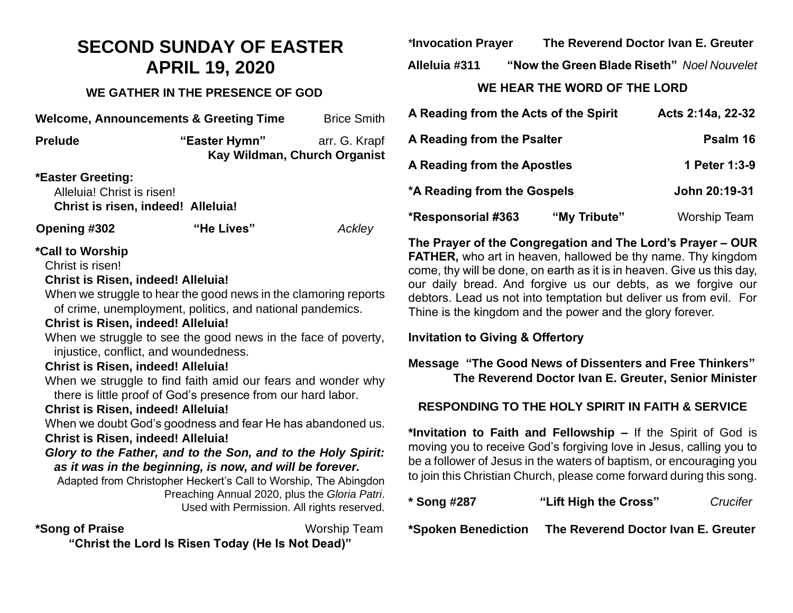# **SECOND SUNDAY OF EASTER APRIL 19, 2020**

#### **WE GATHER IN THE PRESENCE OF GOD**

| <b>Brice Smith</b><br><b>Welcome, Announcements &amp; Greeting Time</b>               |                                                                                                        | ľ                   |                              |
|---------------------------------------------------------------------------------------|--------------------------------------------------------------------------------------------------------|---------------------|------------------------------|
| <b>Prelude</b>                                                                        | "Easter Hymn"                                                                                          | arr. G. Krapf       | F                            |
|                                                                                       | Kay Wildman, Church Organist                                                                           |                     | ľ                            |
| *Easter Greeting:<br>Alleluia! Christ is risen!<br>Christ is risen, indeed! Alleluia! |                                                                                                        |                     | *                            |
| Opening #302                                                                          | "He Lives"                                                                                             | Ackley              | $\star$                      |
| *Call to Worship                                                                      |                                                                                                        |                     | I<br>F                       |
| Christ is risen!                                                                      |                                                                                                        |                     |                              |
| Christ is Risen, indeed! Alleluia!                                                    |                                                                                                        |                     | $\mathbf{C}$<br>$\mathsf{C}$ |
| When we struggle to hear the good news in the clamoring reports                       |                                                                                                        | $\mathbf{c}$        |                              |
|                                                                                       | of crime, unemployment, politics, and national pandemics.                                              |                     | Ī                            |
| <b>Christ is Risen, indeed! Alleluia!</b>                                             |                                                                                                        |                     |                              |
|                                                                                       | When we struggle to see the good news in the face of poverty,<br>injustice, conflict, and woundedness. |                     | Īı                           |
| <b>Christ is Risen, indeed! Alleluia!</b>                                             |                                                                                                        |                     | N                            |
|                                                                                       | When we struggle to find faith amid our fears and wonder why                                           |                     |                              |
|                                                                                       | there is little proof of God's presence from our hard labor.                                           |                     |                              |
| <b>Christ is Risen, indeed! Alleluia!</b>                                             |                                                                                                        |                     |                              |
|                                                                                       | When we doubt God's goodness and fear He has abandoned us.                                             |                     | $\star$                      |
| <b>Christ is Risen, indeed! Alleluia!</b>                                             |                                                                                                        |                     |                              |
|                                                                                       | Glory to the Father, and to the Son, and to the Holy Spirit:                                           |                     | n<br>b                       |
|                                                                                       | as it was in the beginning, is now, and will be forever.                                               |                     | t                            |
|                                                                                       | Adapted from Christopher Heckert's Call to Worship, The Abingdon                                       |                     |                              |
|                                                                                       | Preaching Annual 2020, plus the Gloria Patri.<br>Used with Permission. All rights reserved.            |                     | $\star$                      |
| *Song of Praise                                                                       |                                                                                                        | <b>Worship Team</b> | *                            |

**"Christ the Lord Is Risen Today (He Is Not Dead)"**

#### *\****Invocation Prayer The Reverend Doctor Ivan E. Greuter**

**Alleluia #311 "Now the Green Blade Riseth"** *Noel Nouvelet* **WE HEAR THE WORD OF THE LORD**

| A Reading from the Acts of the Spirit | Acts 2:14a, 22-32   |
|---------------------------------------|---------------------|
| A Reading from the Psalter            | Psalm 16            |
| <b>A Reading from the Apostles</b>    | 1 Peter 1:3-9       |
| *A Reading from the Gospels           | John 20:19-31       |
| *Responsorial #363<br>"My Tribute"    | <b>Worship Team</b> |

**The Prayer of the Congregation and The Lord's Prayer – OUR FATHER,** who art in heaven, hallowed be thy name. Thy kingdom come, thy will be done, on earth as it is in heaven. Give us this day, our daily bread. And forgive us our debts, as we forgive our debtors. Lead us not into temptation but deliver us from evil. For Thine is the kingdom and the power and the glory forever.

#### **Invitation to Giving & Offertory**

**Message "The Good News of Dissenters and Free Thinkers" The Reverend Doctor Ivan E. Greuter, Senior Minister**

#### **RESPONDING TO THE HOLY SPIRIT IN FAITH & SERVICE**

**\*Invitation to Faith and Fellowship –** If the Spirit of God is moving you to receive God's forgiving love in Jesus, calling you to be a follower of Jesus in the waters of baptism, or encouraging you to join this Christian Church, please come forward during this song.

| * Song #287 | "Lift High the Cross" | Crucifer |
|-------------|-----------------------|----------|
|             |                       |          |

**\*Spoken Benediction The Reverend Doctor Ivan E. Greuter**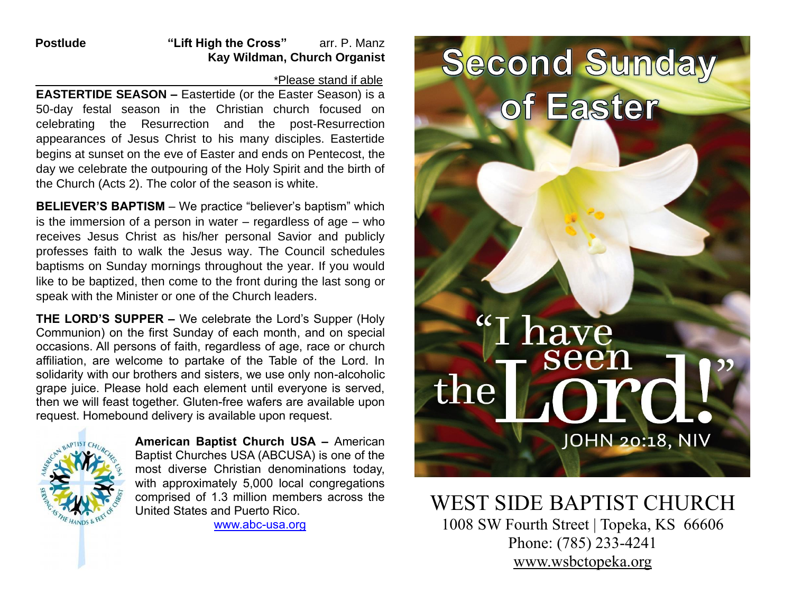### **Postlude "Lift High the Cross"** arr. P. Manz **Kay Wildman, Church Organist**

#### \*Please stand if able

**EASTERTIDE SEASON –** Eastertide (or the Easter Season) is a 50-day festal season in the Christian church focused on celebrating the Resurrection and the post-Resurrection appearances of Jesus Christ to his many disciples. Eastertide begins at sunset on the eve of Easter and ends on Pentecost, the day we celebrate the outpouring of the Holy Spirit and the birth of the Church (Acts 2). The color of the season is white.

**BELIEVER'S BAPTISM** – We practice "believer's baptism" which is the immersion of a person in water  $-$  regardless of age  $-$  who receives Jesus Christ as his/her personal Savior and publicly professes faith to walk the Jesus way. The Council schedules baptisms on Sunday mornings throughout the year. If you would like to be baptized, then come to the front during the last song or speak with the Minister or one of the Church leaders.

**THE LORD'S SUPPER –** We celebrate the Lord's Supper (Holy Communion) on the first Sunday of each month, and on special occasions. All persons of faith, regardless of age, race or church affiliation, are welcome to partake of the Table of the Lord. In solidarity with our brothers and sisters, we use only non-alcoholic grape juice. Please hold each element until everyone is served, then we will feast together. Gluten-free wafers are available upon request. Homebound delivery is available upon request.



**American Baptist Church USA –** American Baptist Churches USA (ABCUSA) is one of the most diverse Christian denominations today, with approximately 5,000 local congregations comprised of 1.3 million members across the United States and Puerto Rico.

[www.abc-usa.org](http://www.abc-usa.org/)

Second Sunday of Easter "I have the JOHN 20:18, NIV

# WEST SIDE BAPTIST CHURCH 1008 SW Fourth Street | Topeka, KS 66606 Phone: (785) 233-4241

[www.wsbctopeka.org](http://www.wsbctopeka.org/)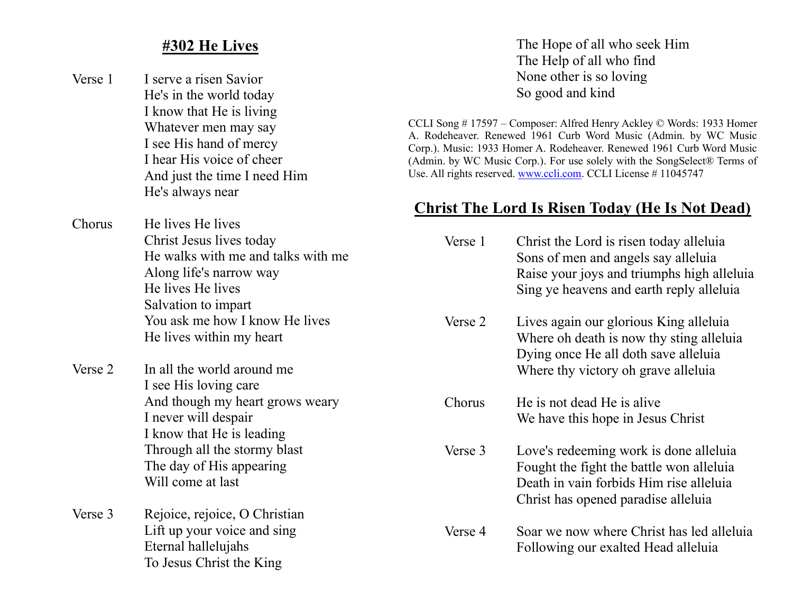## **#302 He Lives**

Verse 1 I serve a risen Savior He's in the world today I know that He is living Whatever men may say I see His hand of mercy I hear His voice of cheer And just the time I need Him He's always near

Chorus He lives He lives Christ Jesus lives today He walks with me and talks with me Along life's narrow way He lives He lives Salvation to impart You ask me how I know He lives He lives within my heart

- Verse 2 In all the world around me I see His loving care And though my heart grows weary I never will despair I know that He is leading Through all the stormy blast The day of His appearing Will come at last
- Verse 3 Rejoice, rejoice, O Christian Lift up your voice and sing Eternal hallelujahs To Jesus Christ the King

The Hope of all who seek Him The Help of all who find None other is so loving So good and kind

CCLI Song # 17597 – Composer: Alfred Henry Ackley © Words: 1933 Homer A. Rodeheaver. Renewed 1961 Curb Word Music (Admin. by WC Music Corp.). Music: 1933 Homer A. Rodeheaver. Renewed 1961 Curb Word Music (Admin. by WC Music Corp.). For use solely with the SongSelect® Terms of Use. All rights reserved. [www.ccli.com.](http://www.ccli.com/) CCLI License # 11045747

## **Christ The Lord Is Risen Today (He Is Not Dead)**

Verse 1 Christ the Lord is risen today alleluia Sons of men and angels say alleluia Raise your joys and triumphs high alleluia Sing ye heavens and earth reply alleluia Verse 2 Lives again our glorious King alleluia Where oh death is now thy sting alleluia Dying once He all doth save alleluia Where thy victory oh grave alleluia Chorus He is not dead He is alive We have this hope in Jesus Christ Verse 3 Love's redeeming work is done alleluia Fought the fight the battle won alleluia Death in vain forbids Him rise alleluia Christ has opened paradise alleluia Verse 4 Soar we now where Christ has led alleluia Following our exalted Head alleluia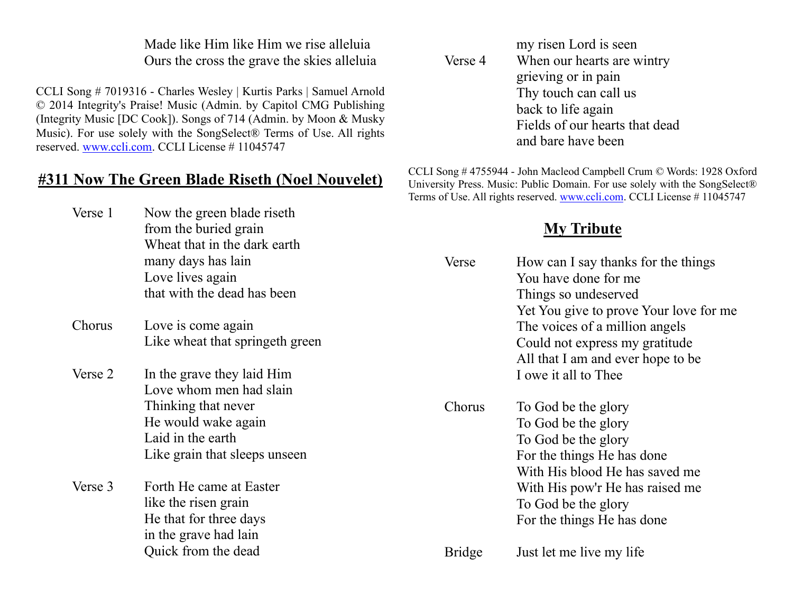Made like Him like Him we rise alleluia Ours the cross the grave the skies alleluia

CCLI Song # 7019316 - Charles Wesley | Kurtis Parks | Samuel Arnold © 2014 Integrity's Praise! Music (Admin. by Capitol CMG Publishing (Integrity Music [DC Cook]). Songs of 714 (Admin. by Moon & Musky Music). For use solely with the SongSelect® Terms of Use. All rights reserved. [www.ccli.com.](http://www.ccli.com/) CCLI License # 11045747

## **#311 Now The Green Blade Riseth (Noel Nouvelet)**

| Verse 1 | Now the green blade riseth   |
|---------|------------------------------|
|         | from the buried grain        |
|         | Wheat that in the dark earth |
|         | many days has lain           |
|         | Love lives again             |
|         | that with the dead has been  |
|         |                              |

- Chorus Love is come again Like wheat that springeth green
- Verse 2 In the grave they laid Him Love whom men had slain Thinking that never He would wake again Laid in the earth Like grain that sleeps unseen
- Verse 3 Forth He came at Easter like the risen grain He that for three days in the grave had lain Quick from the dead

my risen Lord is seen Verse 4 When our hearts are wintry grieving or in pain Thy touch can call us back to life again Fields of our hearts that dead and bare have been

CCLI Song # 4755944 - John Macleod Campbell Crum © Words: 1928 Oxford University Press. Music: Public Domain. For use solely with the SongSelect® Terms of Use. All rights reserved. [www.ccli.com.](http://www.ccli.com/) CCLI License # 11045747

## **My Tribute**

| Verse         | How can I say thanks for the things<br>You have done for me<br>Things so undeserved<br>Yet You give to prove Your love for me<br>The voices of a million angels<br>Could not express my gratitude<br>All that I am and ever hope to be<br>I owe it all to Thee |
|---------------|----------------------------------------------------------------------------------------------------------------------------------------------------------------------------------------------------------------------------------------------------------------|
| Chorus        | To God be the glory<br>To God be the glory<br>To God be the glory<br>For the things He has done<br>With His blood He has saved me<br>With His pow'r He has raised me<br>To God be the glory<br>For the things He has done                                      |
| <b>Bridge</b> | Just let me live my life                                                                                                                                                                                                                                       |